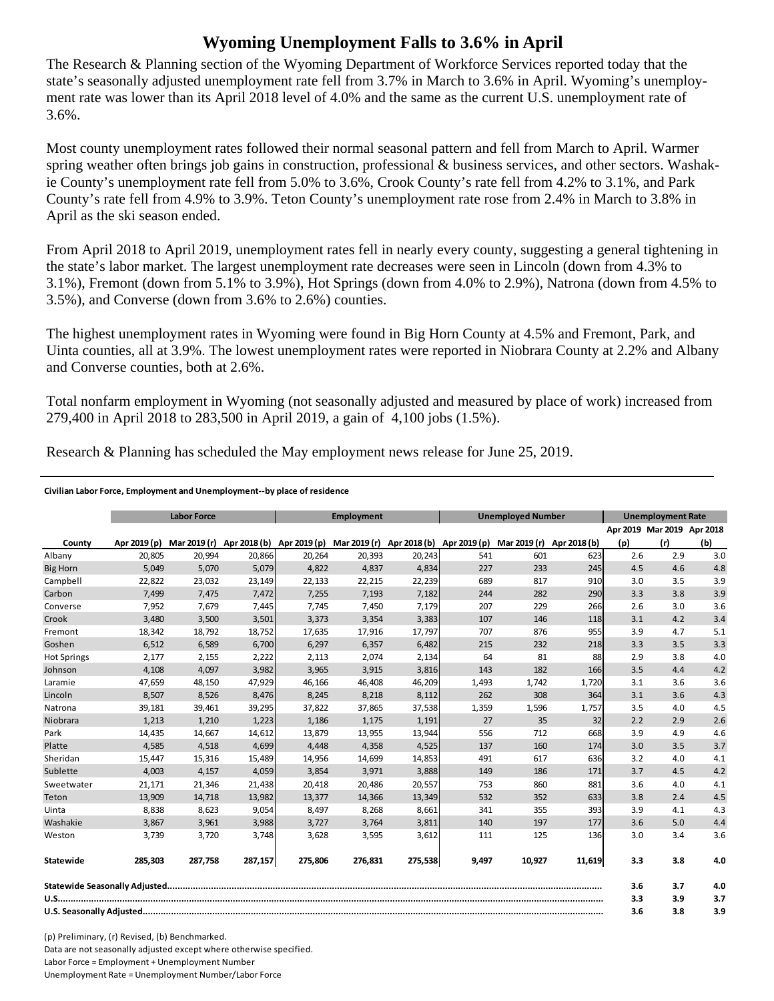## **Wyoming Unemployment Falls to 3.6% in April**

The Research & Planning section of the Wyoming Department of Workforce Services reported today that the state's seasonally adjusted unemployment rate fell from 3.7% in March to 3.6% in April. Wyoming's unemployment rate was lower than its April 2018 level of 4.0% and the same as the current U.S. unemployment rate of 3.6%.

Most county unemployment rates followed their normal seasonal pattern and fell from March to April. Warmer spring weather often brings job gains in construction, professional & business services, and other sectors. Washakie County's unemployment rate fell from 5.0% to 3.6%, Crook County's rate fell from 4.2% to 3.1%, and Park County's rate fell from 4.9% to 3.9%. Teton County's unemployment rate rose from 2.4% in March to 3.8% in April as the ski season ended.

From April 2018 to April 2019, unemployment rates fell in nearly every county, suggesting a general tightening in the state's labor market. The largest unemployment rate decreases were seen in Lincoln (down from 4.3% to 3.1%), Fremont (down from 5.1% to 3.9%), Hot Springs (down from 4.0% to 2.9%), Natrona (down from 4.5% to 3.5%), and Converse (down from 3.6% to 2.6%) counties.

The highest unemployment rates in Wyoming were found in Big Horn County at 4.5% and Fremont, Park, and Uinta counties, all at 3.9%. The lowest unemployment rates were reported in Niobrara County at 2.2% and Albany and Converse counties, both at 2.6%.

Total nonfarm employment in Wyoming (not seasonally adjusted and measured by place of work) increased from 279,400 in April 2018 to 283,500 in April 2019, a gain of 4,100 jobs (1.5%).

Research & Planning has scheduled the May employment news release for June 25, 2019.

## **Civilian Labor Force, Employment and Unemployment‐‐by place of residence**

|                    | <b>Labor Force</b> |              |         | <b>Employment</b>         |                                        |         | <b>Unemployed Number</b> |              |              | <b>Unemployment Rate</b> |                            |     |
|--------------------|--------------------|--------------|---------|---------------------------|----------------------------------------|---------|--------------------------|--------------|--------------|--------------------------|----------------------------|-----|
|                    |                    |              |         |                           |                                        |         |                          |              |              |                          | Apr 2019 Mar 2019 Apr 2018 |     |
| County             | Apr 2019 (p)       | Mar 2019 (r) |         | Apr 2018 (b) Apr 2019 (p) | Mar 2019 (r) Apr 2018 (b) Apr 2019 (p) |         |                          | Mar 2019 (r) | Apr 2018 (b) | (p)                      | (r)                        | (b) |
| Albany             | 20,805             | 20,994       | 20.866  | 20.264                    | 20,393                                 | 20,243  | 541                      | 601          | 623          | 2.6                      | 2.9                        | 3.0 |
| <b>Big Horn</b>    | 5,049              | 5,070        | 5,079   | 4,822                     | 4,837                                  | 4,834   | 227                      | 233          | 245          | 4.5                      | 4.6                        | 4.8 |
| Campbell           | 22.822             | 23,032       | 23,149  | 22,133                    | 22,215                                 | 22,239  | 689                      | 817          | 910          | 3.0                      | 3.5                        | 3.9 |
| Carbon             | 7,499              | 7,475        | 7,472   | 7,255                     | 7,193                                  | 7,182   | 244                      | 282          | 290          | 3.3                      | 3.8                        | 3.9 |
| Converse           | 7,952              | 7,679        | 7,445   | 7,745                     | 7,450                                  | 7,179   | 207                      | 229          | 266          | 2.6                      | 3.0                        | 3.6 |
| Crook              | 3,480              | 3,500        | 3,501   | 3,373                     | 3,354                                  | 3,383   | 107                      | 146          | 118          | 3.1                      | 4.2                        | 3.4 |
| Fremont            | 18,342             | 18,792       | 18,752  | 17,635                    | 17,916                                 | 17,797  | 707                      | 876          | 955          | 3.9                      | 4.7                        | 5.1 |
| Goshen             | 6,512              | 6,589        | 6,700   | 6,297                     | 6,357                                  | 6,482   | 215                      | 232          | 218          | 3.3                      | 3.5                        | 3.3 |
| <b>Hot Springs</b> | 2,177              | 2,155        | 2,222   | 2,113                     | 2,074                                  | 2,134   | 64                       | 81           | 88           | 2.9                      | 3.8                        | 4.0 |
| Johnson            | 4,108              | 4,097        | 3,982   | 3,965                     | 3,915                                  | 3,816   | 143                      | 182          | 166          | 3.5                      | 4.4                        | 4.2 |
| Laramie            | 47.659             | 48,150       | 47,929  | 46.166                    | 46.408                                 | 46,209  | 1,493                    | 1,742        | 1,720        | 3.1                      | 3.6                        | 3.6 |
| Lincoln            | 8,507              | 8,526        | 8,476   | 8,245                     | 8,218                                  | 8,112   | 262                      | 308          | 364          | 3.1                      | 3.6                        | 4.3 |
| Natrona            | 39,181             | 39,461       | 39,295  | 37.822                    | 37,865                                 | 37,538  | 1,359                    | 1,596        | 1,757        | 3.5                      | 4.0                        | 4.5 |
| Niobrara           | 1.213              | 1.210        | 1,223   | 1.186                     | 1.175                                  | 1,191   | 27                       | 35           | 32           | 2.2                      | 2.9                        | 2.6 |
| Park               | 14,435             | 14,667       | 14,612  | 13,879                    | 13,955                                 | 13,944  | 556                      | 712          | 668          | 3.9                      | 4.9                        | 4.6 |
| Platte             | 4,585              | 4,518        | 4,699   | 4,448                     | 4,358                                  | 4,525   | 137                      | 160          | 174          | 3.0                      | 3.5                        | 3.7 |
| Sheridan           | 15,447             | 15,316       | 15,489  | 14,956                    | 14,699                                 | 14,853  | 491                      | 617          | 636          | 3.2                      | 4.0                        | 4.1 |
| Sublette           | 4.003              | 4.157        | 4,059   | 3.854                     | 3,971                                  | 3,888   | 149                      | 186          | 171          | 3.7                      | 4.5                        | 4.2 |
| Sweetwater         | 21,171             | 21,346       | 21,438  | 20,418                    | 20,486                                 | 20,557  | 753                      | 860          | 881          | 3.6                      | 4.0                        | 4.1 |
| Teton              | 13,909             | 14,718       | 13,982  | 13,377                    | 14,366                                 | 13,349  | 532                      | 352          | 633          | 3.8                      | 2.4                        | 4.5 |
| Uinta              | 8,838              | 8,623        | 9,054   | 8,497                     | 8,268                                  | 8,661   | 341                      | 355          | 393          | 3.9                      | 4.1                        | 4.3 |
| Washakie           | 3,867              | 3,961        | 3,988   | 3,727                     | 3,764                                  | 3,811   | 140                      | 197          | 177          | 3.6                      | 5.0                        | 4.4 |
| Weston             | 3,739              | 3,720        | 3,748   | 3,628                     | 3,595                                  | 3,612   | 111                      | 125          | 136          | 3.0                      | 3.4                        | 3.6 |
| <b>Statewide</b>   | 285,303            | 287,758      | 287,157 | 275,806                   | 276,831                                | 275,538 | 9,497                    | 10,927       | 11,619       | 3.3                      | 3.8                        | 4.0 |
|                    |                    |              |         |                           |                                        |         |                          | 3.6          | 3.7          | 4.0                      |                            |     |
|                    |                    |              |         |                           |                                        |         |                          |              |              | 3.3                      | 3.9                        | 3.7 |
|                    |                    |              |         |                           |                                        |         |                          |              |              | 3.6                      | 3.8                        | 3.9 |

(p) Preliminary, (r) Revised, (b) Benchmarked. Data are not seasonally adjusted except where otherwise specified. Labor Force = Employment + Unemployment Number Unemployment Rate = Unemployment Number/Labor Force